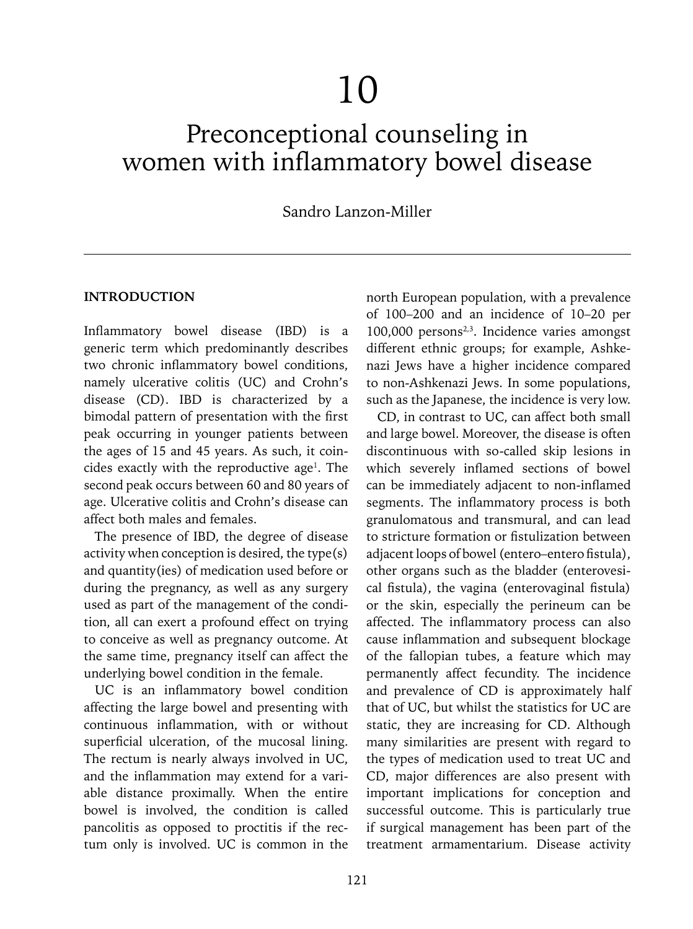# 10

# Preconceptional counseling in women with inflammatory bowel disease

# Sandro Lanzon-Miller

#### **INTRODUCTION**

Inflammatory bowel disease (IBD) is a generic term which predominantly describes two chronic inflammatory bowel conditions, namely ulcerative colitis (UC) and Crohn's disease (CD). IBD is characterized by a bimodal pattern of presentation with the first peak occurring in younger patients between the ages of 15 and 45 years. As such, it coin $c$ ides exactly with the reproductive age<sup>1</sup>. The second peak occurs between 60 and 80 years of age. Ulcerative colitis and Crohn's disease can affect both males and females.

The presence of IBD, the degree of disease activity when conception is desired, the type(s) and quantity(ies) of medication used before or during the pregnancy, as well as any surgery used as part of the management of the condition, all can exert a profound effect on trying to conceive as well as pregnancy outcome. At the same time, pregnancy itself can affect the underlying bowel condition in the female.

UC is an inflammatory bowel condition affecting the large bowel and presenting with continuous inflammation, with or without superficial ulceration, of the mucosal lining. The rectum is nearly always involved in UC, and the inflammation may extend for a variable distance proximally. When the entire bowel is involved, the condition is called pancolitis as opposed to proctitis if the rectum only is involved. UC is common in the

north European population, with a prevalence of 100–200 and an incidence of 10–20 per 100,000 persons<sup>2,3</sup>. Incidence varies amongst different ethnic groups; for example, Ashkenazi Jews have a higher incidence compared to non-Ashkenazi Jews. In some populations, such as the Japanese, the incidence is very low.

CD, in contrast to UC, can affect both small and large bowel. Moreover, the disease is often discontinuous with so-called skip lesions in which severely inflamed sections of bowel can be immediately adjacent to non-inflamed segments. The inflammatory process is both granulomatous and transmural, and can lead to stricture formation or fistulization between adjacent loops of bowel (entero–entero fistula), other organs such as the bladder (enterovesical fistula), the vagina (enterovaginal fistula) or the skin, especially the perineum can be affected. The inflammatory process can also cause inflammation and subsequent blockage of the fallopian tubes, a feature which may permanently affect fecundity. The incidence and prevalence of CD is approximately half that of UC, but whilst the statistics for UC are static, they are increasing for CD. Although many similarities are present with regard to the types of medication used to treat UC and CD, major differences are also present with important implications for conception and successful outcome. This is particularly true if surgical management has been part of the treatment armamentarium. Disease activity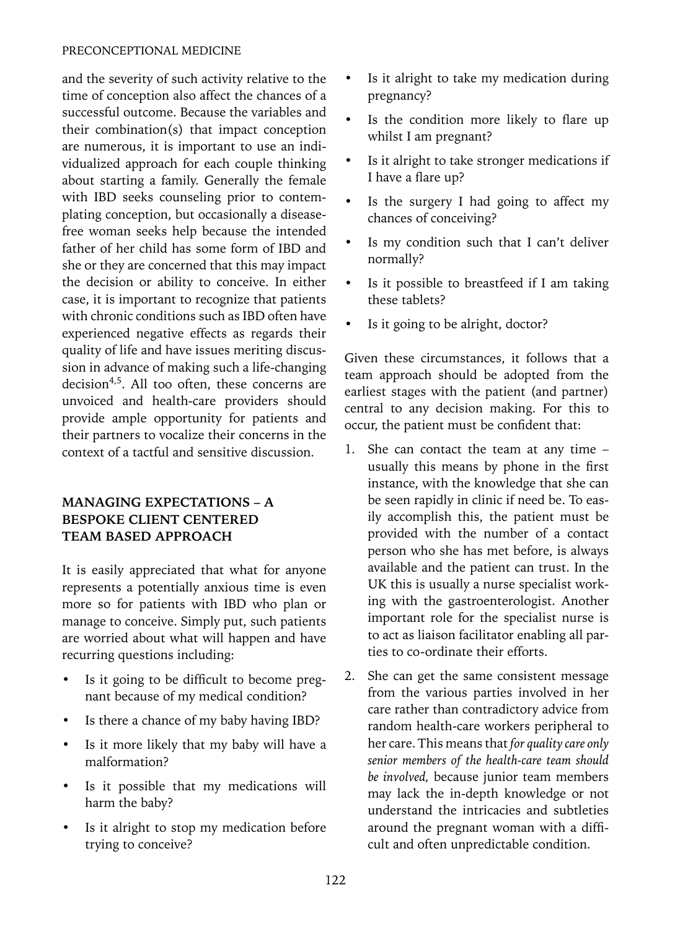#### PRECONCEPTIONAL MEDICINE

and the severity of such activity relative to the time of conception also affect the chances of a successful outcome. Because the variables and their combination(s) that impact conception are numerous, it is important to use an individualized approach for each couple thinking about starting a family. Generally the female with IBD seeks counseling prior to contemplating conception, but occasionally a diseasefree woman seeks help because the intended father of her child has some form of IBD and she or they are concerned that this may impact the decision or ability to conceive. In either case, it is important to recognize that patients with chronic conditions such as IBD often have experienced negative effects as regards their quality of life and have issues meriting discussion in advance of making such a life-changing decision<sup>4,5</sup>. All too often, these concerns are unvoiced and health-care providers should provide ample opportunity for patients and their partners to vocalize their concerns in the context of a tactful and sensitive discussion.

# **MANAGING EXPECTATIONS – A BESPOKE CLIENT CENTERED TEAM BASED APPROACH**

It is easily appreciated that what for anyone represents a potentially anxious time is even more so for patients with IBD who plan or manage to conceive. Simply put, such patients are worried about what will happen and have recurring questions including:

- Is it going to be difficult to become pregnant because of my medical condition?
- Is there a chance of my baby having IBD?
- Is it more likely that my baby will have a malformation?
- Is it possible that my medications will harm the baby?
- Is it alright to stop my medication before trying to conceive?
- Is it alright to take my medication during pregnancy?
- Is the condition more likely to flare up whilst I am pregnant?
- Is it alright to take stronger medications if I have a flare up?
- Is the surgery I had going to affect my chances of conceiving?
- Is my condition such that I can't deliver normally?
- Is it possible to breastfeed if I am taking these tablets?
- Is it going to be alright, doctor?

Given these circumstances, it follows that a team approach should be adopted from the earliest stages with the patient (and partner) central to any decision making. For this to occur, the patient must be confident that:

- 1. She can contact the team at any time usually this means by phone in the first instance, with the knowledge that she can be seen rapidly in clinic if need be. To easily accomplish this, the patient must be provided with the number of a contact person who she has met before, is always available and the patient can trust. In the UK this is usually a nurse specialist working with the gastroenterologist. Another important role for the specialist nurse is to act as liaison facilitator enabling all parties to co-ordinate their efforts.
- 2. She can get the same consistent message from the various parties involved in her care rather than contradictory advice from random health-care workers peripheral to her care. This means that *for quality care only senior members of the health-care team should be involved,* because junior team members may lack the in-depth knowledge or not understand the intricacies and subtleties around the pregnant woman with a difficult and often unpredictable condition.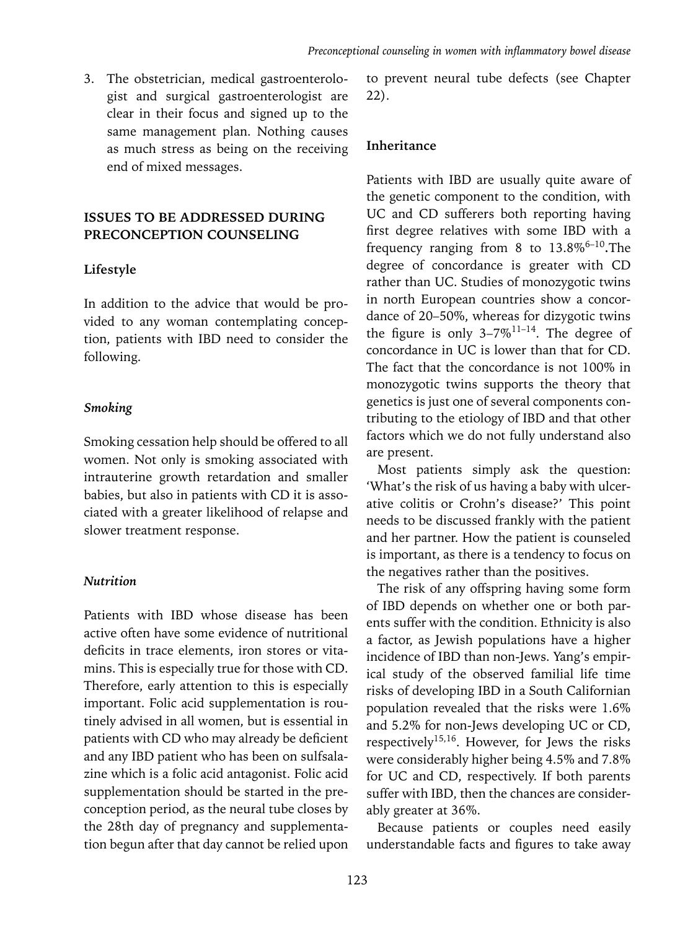3. The obstetrician, medical gastroenterologist and surgical gastroenterologist are clear in their focus and signed up to the same management plan. Nothing causes as much stress as being on the receiving end of mixed messages.

# **ISSUES TO BE ADDRESSED DURING PRECONCEPTION COUNSELING**

#### **Lifestyle**

In addition to the advice that would be provided to any woman contemplating conception, patients with IBD need to consider the following.

#### *Smoking*

Smoking cessation help should be offered to all women. Not only is smoking associated with intrauterine growth retardation and smaller babies, but also in patients with CD it is associated with a greater likelihood of relapse and slower treatment response.

#### *Nutrition*

Patients with IBD whose disease has been active often have some evidence of nutritional deficits in trace elements, iron stores or vitamins. This is especially true for those with CD. Therefore, early attention to this is especially important. Folic acid supplementation is routinely advised in all women, but is essential in patients with CD who may already be deficient and any IBD patient who has been on sulfsalazine which is a folic acid antagonist. Folic acid supplementation should be started in the preconception period, as the neural tube closes by the 28th day of pregnancy and supplementation begun after that day cannot be relied upon

to prevent neural tube defects (see Chapter 22).

#### **Inheritance**

Patients with IBD are usually quite aware of the genetic component to the condition, with UC and CD sufferers both reporting having first degree relatives with some IBD with a frequency ranging from 8 to  $13.8\%^{6-10}$ . The degree of concordance is greater with CD rather than UC. Studies of monozygotic twins in north European countries show a concordance of 20–50%, whereas for dizygotic twins the figure is only  $3-7\%$ <sup>11-14</sup>. The degree of concordance in UC is lower than that for CD. The fact that the concordance is not 100% in monozygotic twins supports the theory that genetics is just one of several components contributing to the etiology of IBD and that other factors which we do not fully understand also are present.

Most patients simply ask the question: 'What's the risk of us having a baby with ulcerative colitis or Crohn's disease?' This point needs to be discussed frankly with the patient and her partner. How the patient is counseled is important, as there is a tendency to focus on the negatives rather than the positives.

The risk of any offspring having some form of IBD depends on whether one or both parents suffer with the condition. Ethnicity is also a factor, as Jewish populations have a higher incidence of IBD than non-Jews. Yang's empirical study of the observed familial life time risks of developing IBD in a South Californian population revealed that the risks were 1.6% and 5.2% for non-Jews developing UC or CD, respectively<sup>15,16</sup>. However, for Jews the risks were considerably higher being 4.5% and 7.8% for UC and CD, respectively. If both parents suffer with IBD, then the chances are considerably greater at 36%.

Because patients or couples need easily understandable facts and figures to take away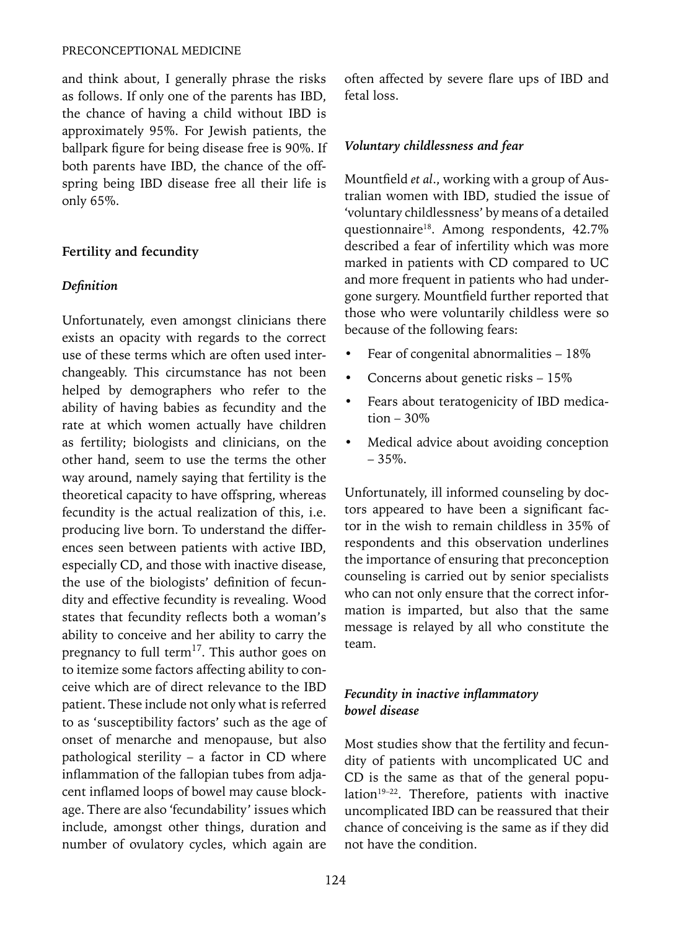#### PRECONCEPTIONAL MEDICINE

and think about, I generally phrase the risks as follows. If only one of the parents has IBD, the chance of having a child without IBD is approximately 95%. For Jewish patients, the ballpark figure for being disease free is 90%. If both parents have IBD, the chance of the offspring being IBD disease free all their life is only 65%.

### **Fertility and fecundity**

#### *Definition*

Unfortunately, even amongst clinicians there exists an opacity with regards to the correct use of these terms which are often used interchangeably. This circumstance has not been helped by demographers who refer to the ability of having babies as fecundity and the rate at which women actually have children as fertility; biologists and clinicians, on the other hand, seem to use the terms the other way around, namely saying that fertility is the theoretical capacity to have offspring, whereas fecundity is the actual realization of this, i.e. producing live born. To understand the differences seen between patients with active IBD, especially CD, and those with inactive disease, the use of the biologists' definition of fecundity and effective fecundity is revealing. Wood states that fecundity reflects both a woman's ability to conceive and her ability to carry the pregnancy to full term<sup>17</sup>. This author goes on to itemize some factors affecting ability to conceive which are of direct relevance to the IBD patient. These include not only what is referred to as 'susceptibility factors' such as the age of onset of menarche and menopause, but also pathological sterility – a factor in CD where inflammation of the fallopian tubes from adjacent inflamed loops of bowel may cause blockage. There are also 'fecundability' issues which include, amongst other things, duration and number of ovulatory cycles, which again are

often affected by severe flare ups of IBD and fetal loss.

#### *Voluntary childlessness and fear*

Mountfield *et al*., working with a group of Australian women with IBD, studied the issue of 'voluntary childlessness' by means of a detailed questionnaire18. Among respondents, 42.7% described a fear of infertility which was more marked in patients with CD compared to UC and more frequent in patients who had undergone surgery. Mountfield further reported that those who were voluntarily childless were so because of the following fears:

- Fear of congenital abnormalities 18%
- Concerns about genetic risks 15%
- Fears about teratogenicity of IBD medication  $-30\%$
- Medical advice about avoiding conception  $-35%$ .

Unfortunately, ill informed counseling by doctors appeared to have been a significant factor in the wish to remain childless in 35% of respondents and this observation underlines the importance of ensuring that preconception counseling is carried out by senior specialists who can not only ensure that the correct information is imparted, but also that the same message is relayed by all who constitute the team.

### *Fecundity in inactive inflammatory bowel disease*

Most studies show that the fertility and fecundity of patients with uncomplicated UC and CD is the same as that of the general population<sup>19-22</sup>. Therefore, patients with inactive uncomplicated IBD can be reassured that their chance of conceiving is the same as if they did not have the condition.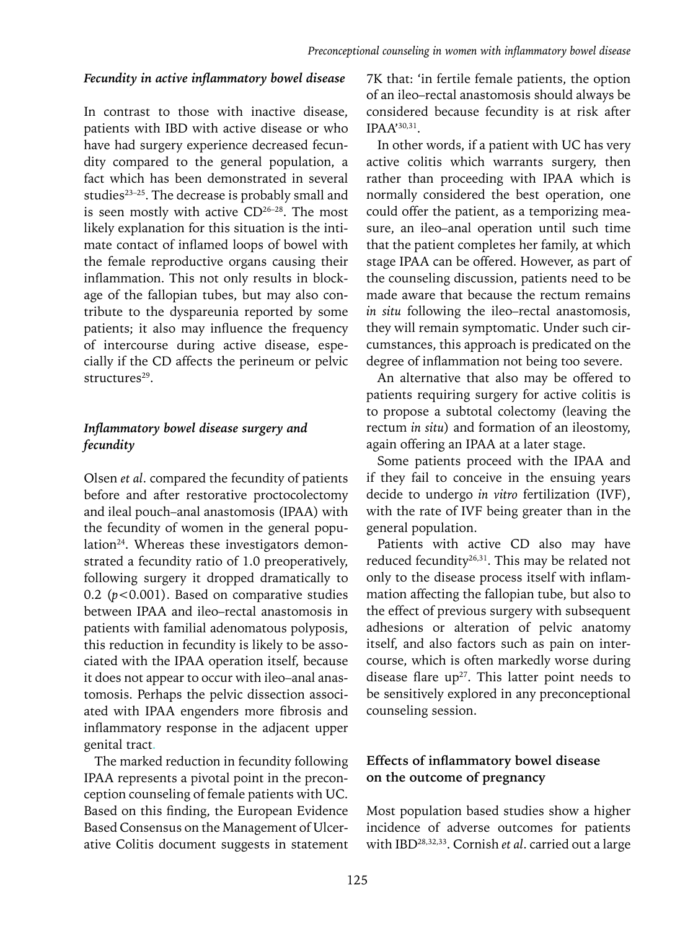#### *Fecundity in active inflammatory bowel disease*

In contrast to those with inactive disease, patients with IBD with active disease or who have had surgery experience decreased fecundity compared to the general population, a fact which has been demonstrated in several studies<sup>23-25</sup>. The decrease is probably small and is seen mostly with active  $CD^{26-28}$ . The most likely explanation for this situation is the intimate contact of inflamed loops of bowel with the female reproductive organs causing their inflammation. This not only results in blockage of the fallopian tubes, but may also contribute to the dyspareunia reported by some patients; it also may influence the frequency of intercourse during active disease, especially if the CD affects the perineum or pelvic structures<sup>29</sup>.

### *Inflammatory bowel disease surgery and fecundity*

Olsen *et al*. compared the fecundity of patients before and after restorative proctocolectomy and ileal pouch–anal anastomosis (IPAA) with the fecundity of women in the general population<sup>24</sup>. Whereas these investigators demonstrated a fecundity ratio of 1.0 preoperatively, following surgery it dropped dramatically to 0.2 (*p*<0.001). Based on comparative studies between IPAA and ileo–rectal anastomosis in patients with familial adenomatous polyposis, this reduction in fecundity is likely to be associated with the IPAA operation itself, because it does not appear to occur with ileo–anal anastomosis. Perhaps the pelvic dissection associated with IPAA engenders more fibrosis and inflammatory response in the adjacent upper genital tract.

The marked reduction in fecundity following IPAA represents a pivotal point in the preconception counseling of female patients with UC. Based on this finding, the European Evidence Based Consensus on the Management of Ulcerative Colitis document suggests in statement

7K that: 'in fertile female patients, the option of an ileo–rectal anastomosis should always be considered because fecundity is at risk after IPAA'30,31.

In other words, if a patient with UC has very active colitis which warrants surgery, then rather than proceeding with IPAA which is normally considered the best operation, one could offer the patient, as a temporizing measure, an ileo–anal operation until such time that the patient completes her family, at which stage IPAA can be offered. However, as part of the counseling discussion, patients need to be made aware that because the rectum remains *in situ* following the ileo–rectal anastomosis, they will remain symptomatic. Under such circumstances, this approach is predicated on the degree of inflammation not being too severe.

An alternative that also may be offered to patients requiring surgery for active colitis is to propose a subtotal colectomy (leaving the rectum *in situ*) and formation of an ileostomy, again offering an IPAA at a later stage.

Some patients proceed with the IPAA and if they fail to conceive in the ensuing years decide to undergo *in vitro* fertilization (IVF), with the rate of IVF being greater than in the general population.

Patients with active CD also may have reduced fecundity<sup>26,31</sup>. This may be related not only to the disease process itself with inflammation affecting the fallopian tube, but also to the effect of previous surgery with subsequent adhesions or alteration of pelvic anatomy itself, and also factors such as pain on intercourse, which is often markedly worse during disease flare  $up^{27}$ . This latter point needs to be sensitively explored in any preconceptional counseling session.

#### **Effects of inflammatory bowel disease on the outcome of pregnancy**

Most population based studies show a higher incidence of adverse outcomes for patients with IBD28,32,33. Cornish *et al*. carried out a large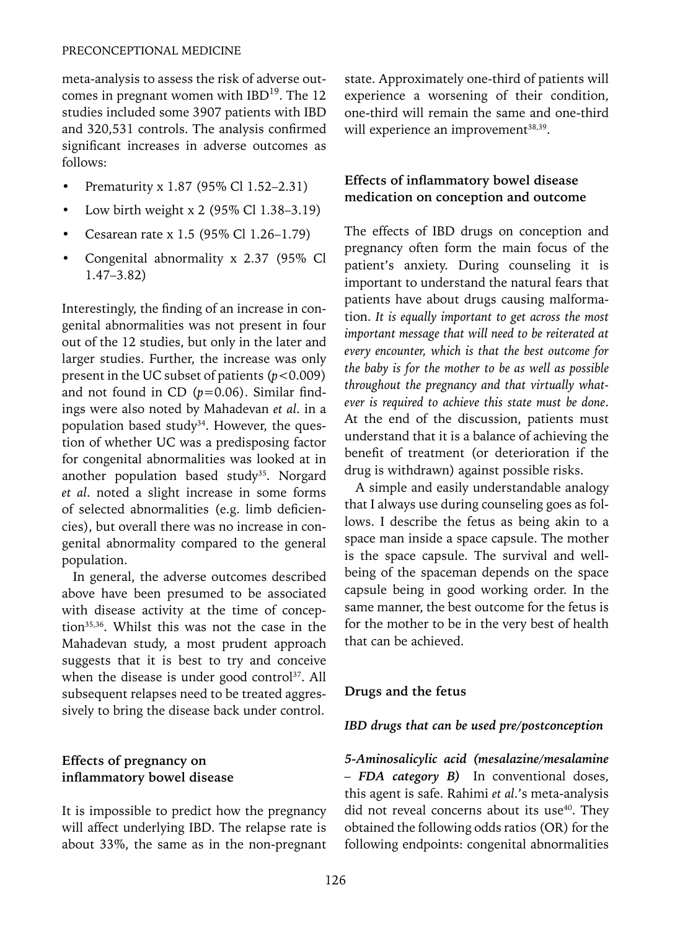meta-analysis to assess the risk of adverse outcomes in pregnant women with IBD<sup>19</sup>. The 12 studies included some 3907 patients with IBD and 320,531 controls. The analysis confirmed significant increases in adverse outcomes as follows:

- Prematurity x 1.87 (95% Cl 1.52–2.31)
- Low birth weight x 2 (95% Cl 1.38–3.19)
- Cesarean rate x 1.5 (95% Cl 1.26–1.79)
- Congenital abnormality x 2.37 (95% Cl 1.47–3.82)

Interestingly, the finding of an increase in congenital abnormalities was not present in four out of the 12 studies, but only in the later and larger studies. Further, the increase was only present in the UC subset of patients (*p*<0.009) and not found in CD (*p*=0.06). Similar findings were also noted by Mahadevan *et al*. in a population based study<sup>34</sup>. However, the question of whether UC was a predisposing factor for congenital abnormalities was looked at in another population based study<sup>35</sup>. Norgard *et al*. noted a slight increase in some forms of selected abnormalities (e.g. limb deficiencies), but overall there was no increase in congenital abnormality compared to the general population.

In general, the adverse outcomes described above have been presumed to be associated with disease activity at the time of conception35,36. Whilst this was not the case in the Mahadevan study, a most prudent approach suggests that it is best to try and conceive when the disease is under good control<sup>37</sup>. All subsequent relapses need to be treated aggressively to bring the disease back under control.

### **Effects of pregnancy on inflammatory bowel disease**

It is impossible to predict how the pregnancy will affect underlying IBD. The relapse rate is about 33%, the same as in the non-pregnant state. Approximately one-third of patients will experience a worsening of their condition, one-third will remain the same and one-third will experience an improvement<sup>38,39</sup>.

# **Effects of inflammatory bowel disease medication on conception and outcome**

The effects of IBD drugs on conception and pregnancy often form the main focus of the patient's anxiety. During counseling it is important to understand the natural fears that patients have about drugs causing malformation. *It is equally important to get across the most important message that will need to be reiterated at every encounter, which is that the best outcome for the baby is for the mother to be as well as possible throughout the pregnancy and that virtually whatever is required to achieve this state must be done*. At the end of the discussion, patients must understand that it is a balance of achieving the benefit of treatment (or deterioration if the drug is withdrawn) against possible risks.

A simple and easily understandable analogy that I always use during counseling goes as follows. I describe the fetus as being akin to a space man inside a space capsule. The mother is the space capsule. The survival and wellbeing of the spaceman depends on the space capsule being in good working order. In the same manner, the best outcome for the fetus is for the mother to be in the very best of health that can be achieved.

#### **Drugs and the fetus**

#### *IBD drugs that can be used pre/postconception*

*5-Aminosalicylic acid (mesalazine/mesalamine – FDA category B)* In conventional doses, this agent is safe. Rahimi *et al*.'s meta-analysis did not reveal concerns about its use $40$ . They obtained the following odds ratios (OR) for the following endpoints: congenital abnormalities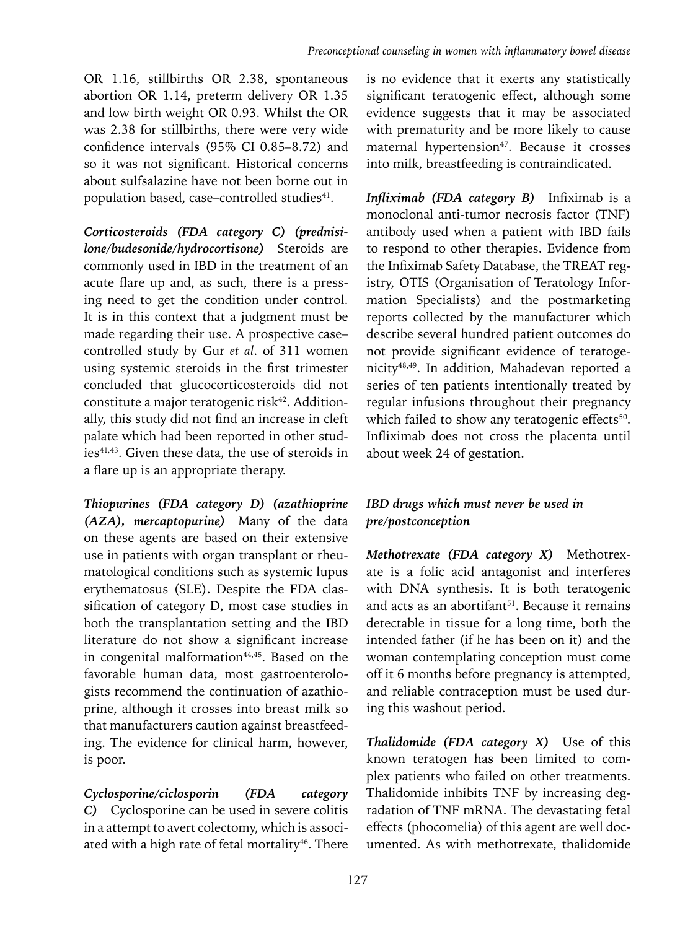OR 1.16, stillbirths OR 2.38, spontaneous abortion OR 1.14, preterm delivery OR 1.35 and low birth weight OR 0.93. Whilst the OR was 2.38 for stillbirths, there were very wide confidence intervals (95% CI 0.85–8.72) and so it was not significant. Historical concerns about sulfsalazine have not been borne out in population based, case-controlled studies<sup>41</sup>.

*Corticosteroids (FDA category C) (prednisilone/budesonide/hydrocortisone)* Steroids are commonly used in IBD in the treatment of an acute flare up and, as such, there is a pressing need to get the condition under control. It is in this context that a judgment must be made regarding their use. A prospective case– controlled study by Gur *et al*. of 311 women using systemic steroids in the first trimester concluded that glucocorticosteroids did not constitute a major teratogenic risk<sup>42</sup>. Additionally, this study did not find an increase in cleft palate which had been reported in other studies<sup>41,43</sup>. Given these data, the use of steroids in a flare up is an appropriate therapy.

*Thiopurines (FDA category D) (azathioprine (AZA), mercaptopurine)* Many of the data on these agents are based on their extensive use in patients with organ transplant or rheumatological conditions such as systemic lupus erythematosus (SLE). Despite the FDA classification of category D, most case studies in both the transplantation setting and the IBD literature do not show a significant increase in congenital malformation $44,45$ . Based on the favorable human data, most gastroenterologists recommend the continuation of azathioprine, although it crosses into breast milk so that manufacturers caution against breastfeeding. The evidence for clinical harm, however, is poor.

*Cyclosporine/ciclosporin (FDA category C)* Cyclosporine can be used in severe colitis in a attempt to avert colectomy, which is associated with a high rate of fetal mortality $46$ . There is no evidence that it exerts any statistically significant teratogenic effect, although some evidence suggests that it may be associated with prematurity and be more likely to cause maternal hypertension<sup>47</sup>. Because it crosses into milk, breastfeeding is contraindicated.

*Infliximab (FDA category B)* Infiximab is a monoclonal anti-tumor necrosis factor (TNF) antibody used when a patient with IBD fails to respond to other therapies. Evidence from the Infiximab Safety Database, the TREAT registry, OTIS (Organisation of Teratology Information Specialists) and the postmarketing reports collected by the manufacturer which describe several hundred patient outcomes do not provide significant evidence of teratogenicity48,49. In addition, Mahadevan reported a series of ten patients intentionally treated by regular infusions throughout their pregnancy which failed to show any teratogenic effects<sup>50</sup>. Infliximab does not cross the placenta until about week 24 of gestation.

# *IBD drugs which must never be used in pre/postconception*

*Methotrexate (FDA category X)* Methotrexate is a folic acid antagonist and interferes with DNA synthesis. It is both teratogenic and acts as an abortifant<sup>51</sup>. Because it remains detectable in tissue for a long time, both the intended father (if he has been on it) and the woman contemplating conception must come off it 6 months before pregnancy is attempted, and reliable contraception must be used during this washout period.

*Thalidomide (FDA category X)* Use of this known teratogen has been limited to complex patients who failed on other treatments. Thalidomide inhibits TNF by increasing degradation of TNF mRNA. The devastating fetal effects (phocomelia) of this agent are well documented. As with methotrexate, thalidomide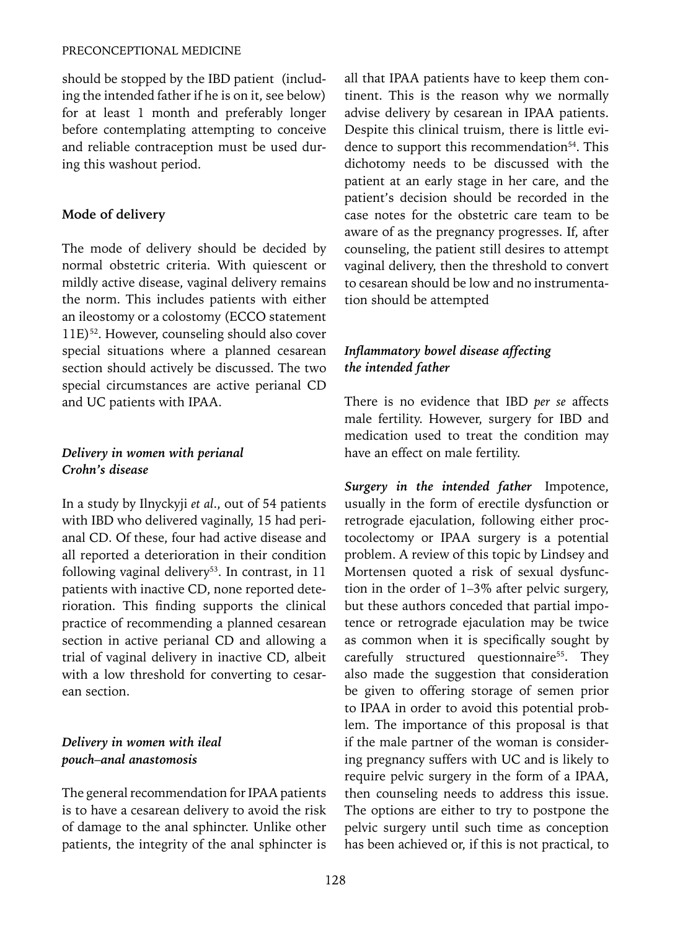#### PRECONCEPTIONAL MEDICINE

should be stopped by the IBD patient (including the intended father if he is on it, see below) for at least 1 month and preferably longer before contemplating attempting to conceive and reliable contraception must be used during this washout period.

#### **Mode of delivery**

The mode of delivery should be decided by normal obstetric criteria. With quiescent or mildly active disease, vaginal delivery remains the norm. This includes patients with either an ileostomy or a colostomy (ECCO statement 11E)52. However, counseling should also cover special situations where a planned cesarean section should actively be discussed. The two special circumstances are active perianal CD and UC patients with IPAA.

# *Delivery in women with perianal Crohn's disease*

In a study by Ilnyckyji *et al*., out of 54 patients with IBD who delivered vaginally, 15 had perianal CD. Of these, four had active disease and all reported a deterioration in their condition following vaginal delivery<sup>53</sup>. In contrast, in  $11$ patients with inactive CD, none reported deterioration. This finding supports the clinical practice of recommending a planned cesarean section in active perianal CD and allowing a trial of vaginal delivery in inactive CD, albeit with a low threshold for converting to cesarean section.

# *Delivery in women with ileal pouch–anal anastomosis*

The general recommendation for IPAA patients is to have a cesarean delivery to avoid the risk of damage to the anal sphincter. Unlike other patients, the integrity of the anal sphincter is all that IPAA patients have to keep them continent. This is the reason why we normally advise delivery by cesarean in IPAA patients. Despite this clinical truism, there is little evidence to support this recommendation<sup>54</sup>. This dichotomy needs to be discussed with the patient at an early stage in her care, and the patient's decision should be recorded in the case notes for the obstetric care team to be aware of as the pregnancy progresses. If, after counseling, the patient still desires to attempt vaginal delivery, then the threshold to convert to cesarean should be low and no instrumentation should be attempted

# *Inflammatory bowel disease affecting the intended father*

There is no evidence that IBD *per se* affects male fertility. However, surgery for IBD and medication used to treat the condition may have an effect on male fertility.

*Surgery in the intended father* Impotence, usually in the form of erectile dysfunction or retrograde ejaculation, following either proctocolectomy or IPAA surgery is a potential problem. A review of this topic by Lindsey and Mortensen quoted a risk of sexual dysfunction in the order of 1–3% after pelvic surgery, but these authors conceded that partial impotence or retrograde ejaculation may be twice as common when it is specifically sought by carefully structured questionnaire<sup>55</sup>. They also made the suggestion that consideration be given to offering storage of semen prior to IPAA in order to avoid this potential problem. The importance of this proposal is that if the male partner of the woman is considering pregnancy suffers with UC and is likely to require pelvic surgery in the form of a IPAA, then counseling needs to address this issue. The options are either to try to postpone the pelvic surgery until such time as conception has been achieved or, if this is not practical, to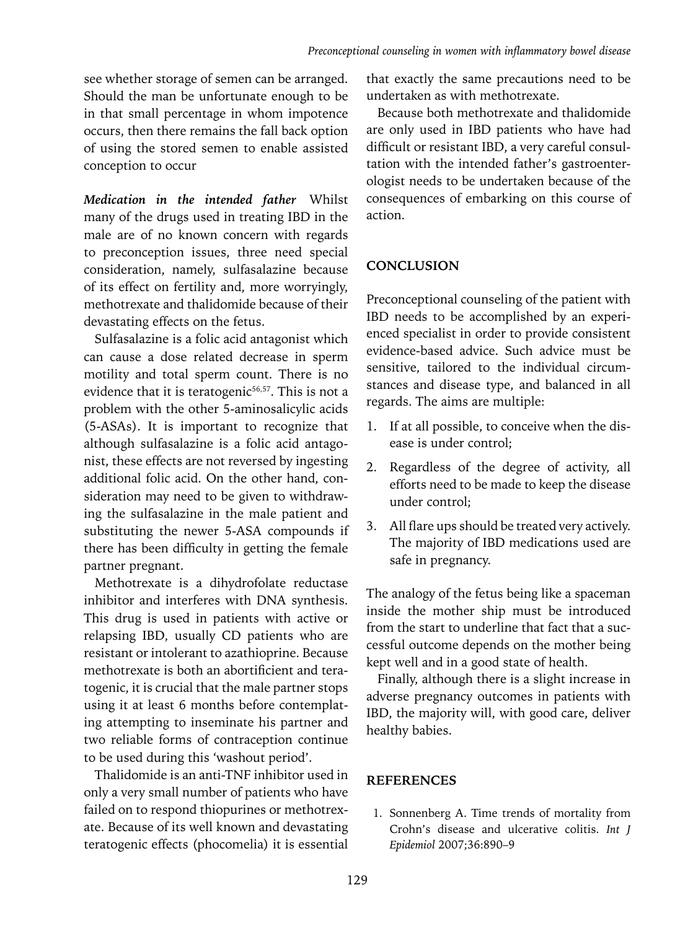see whether storage of semen can be arranged. Should the man be unfortunate enough to be in that small percentage in whom impotence occurs, then there remains the fall back option of using the stored semen to enable assisted conception to occur

*Medication in the intended father* Whilst many of the drugs used in treating IBD in the male are of no known concern with regards to preconception issues, three need special consideration, namely, sulfasalazine because of its effect on fertility and, more worryingly, methotrexate and thalidomide because of their devastating effects on the fetus.

Sulfasalazine is a folic acid antagonist which can cause a dose related decrease in sperm motility and total sperm count. There is no evidence that it is teratogenic $56,57$ . This is not a problem with the other 5-aminosalicylic acids (5-ASAs). It is important to recognize that although sulfasalazine is a folic acid antagonist, these effects are not reversed by ingesting additional folic acid. On the other hand, consideration may need to be given to withdrawing the sulfasalazine in the male patient and substituting the newer 5-ASA compounds if there has been difficulty in getting the female partner pregnant.

Methotrexate is a dihydrofolate reductase inhibitor and interferes with DNA synthesis. This drug is used in patients with active or relapsing IBD, usually CD patients who are resistant or intolerant to azathioprine. Because methotrexate is both an abortificient and teratogenic, it is crucial that the male partner stops using it at least 6 months before contemplating attempting to inseminate his partner and two reliable forms of contraception continue to be used during this 'washout period'.

Thalidomide is an anti-TNF inhibitor used in only a very small number of patients who have failed on to respond thiopurines or methotrexate. Because of its well known and devastating teratogenic effects (phocomelia) it is essential that exactly the same precautions need to be undertaken as with methotrexate.

Because both methotrexate and thalidomide are only used in IBD patients who have had difficult or resistant IBD, a very careful consultation with the intended father's gastroenterologist needs to be undertaken because of the consequences of embarking on this course of action.

# **CONCLUSION**

Preconceptional counseling of the patient with IBD needs to be accomplished by an experienced specialist in order to provide consistent evidence-based advice. Such advice must be sensitive, tailored to the individual circumstances and disease type, and balanced in all regards. The aims are multiple:

- 1. If at all possible, to conceive when the disease is under control;
- 2. Regardless of the degree of activity, all efforts need to be made to keep the disease under control;
- 3. All flare ups should be treated very actively. The majority of IBD medications used are safe in pregnancy.

The analogy of the fetus being like a spaceman inside the mother ship must be introduced from the start to underline that fact that a successful outcome depends on the mother being kept well and in a good state of health.

Finally, although there is a slight increase in adverse pregnancy outcomes in patients with IBD, the majority will, with good care, deliver healthy babies.

# **References**

1. Sonnenberg A. Time trends of mortality from Crohn's disease and ulcerative colitis. *Int J Epidemiol* 2007;36:890–9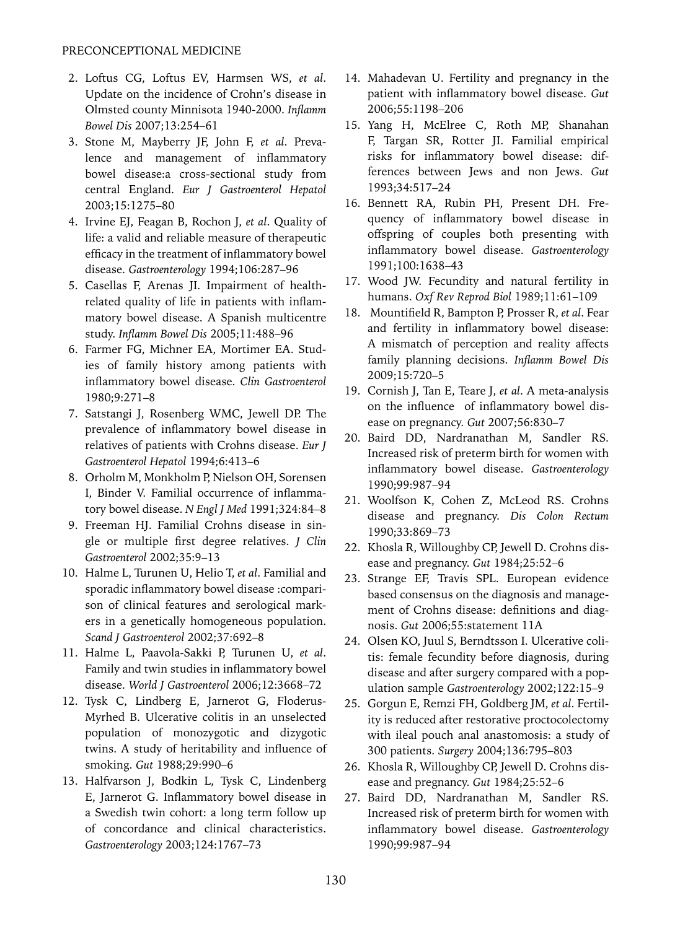- 2. Loftus CG, Loftus EV, Harmsen WS, *et al*. Update on the incidence of Crohn's disease in Olmsted county Minnisota 1940-2000. *Inflamm Bowel Dis* 2007;13:254–61
- 3. Stone M, Mayberry JF, John F, *et al*. Prevalence and management of inflammatory bowel disease:a cross-sectional study from central England. *Eur J Gastroenterol Hepatol*  2003;15:1275–80
- 4. Irvine EJ, Feagan B, Rochon J, *et al*. Quality of life: a valid and reliable measure of therapeutic efficacy in the treatment of inflammatory bowel disease. *Gastroenterology* 1994;106:287–96
- 5. Casellas F, Arenas JI. Impairment of healthrelated quality of life in patients with inflammatory bowel disease. A Spanish multicentre study. *Inflamm Bowel Dis* 2005;11:488–96
- 6. Farmer FG, Michner EA, Mortimer EA. Studies of family history among patients with inflammatory bowel disease. *Clin Gastroenterol* 1980;9:271–8
- 7. Satstangi J, Rosenberg WMC, Jewell DP. The prevalence of inflammatory bowel disease in relatives of patients with Crohns disease. *Eur J Gastroenterol Hepatol* 1994;6:413–6
- 8. Orholm M, Monkholm P, Nielson OH, Sorensen I, Binder V. Familial occurrence of inflammatory bowel disease. *N Engl J Med* 1991;324:84–8
- 9. Freeman HJ. Familial Crohns disease in single or multiple first degree relatives. *J Clin Gastroenterol* 2002;35:9–13
- 10. Halme L, Turunen U, Helio T, *et al*. Familial and sporadic inflammatory bowel disease :comparison of clinical features and serological markers in a genetically homogeneous population. *Scand J Gastroenterol* 2002;37:692–8
- 11. Halme L, Paavola-Sakki P, Turunen U, *et al*. Family and twin studies in inflammatory bowel disease. *World J Gastroenterol* 2006;12:3668–72
- 12. Tysk C, Lindberg E, Jarnerot G, Floderus-Myrhed B. Ulcerative colitis in an unselected population of monozygotic and dizygotic twins. A study of heritability and influence of smoking. *Gut* 1988;29:990–6
- 13. Halfvarson J, Bodkin L, Tysk C, Lindenberg E, Jarnerot G. Inflammatory bowel disease in a Swedish twin cohort: a long term follow up of concordance and clinical characteristics. *Gastroenterology* 2003;124:1767–73
- 14. Mahadevan U. Fertility and pregnancy in the patient with inflammatory bowel disease. *Gut* 2006;55:1198–206
- 15. Yang H, McElree C, Roth MP, Shanahan F, Targan SR, Rotter JI. Familial empirical risks for inflammatory bowel disease: differences between Jews and non Jews. *Gut* 1993;34:517–24
- 16. Bennett RA, Rubin PH, Present DH. Frequency of inflammatory bowel disease in offspring of couples both presenting with inflammatory bowel disease. *Gastroenterology* 1991;100:1638–43
- 17. Wood JW. Fecundity and natural fertility in humans. *Oxf Rev Reprod Biol* 1989;11:61–109
- 18. Mountifield R, Bampton P, Prosser R, *et al*. Fear and fertility in inflammatory bowel disease: A mismatch of perception and reality affects family planning decisions. *Inflamm Bowel Dis* 2009;15:720–5
- 19. Cornish J, Tan E, Teare J, *et al*. A meta-analysis on the influence of inflammatory bowel disease on pregnancy. *Gut* 2007;56:830–7
- 20. Baird DD, Nardranathan M, Sandler RS. Increased risk of preterm birth for women with inflammatory bowel disease. *Gastroenterology* 1990;99:987–94
- 21. Woolfson K, Cohen Z, McLeod RS. Crohns disease and pregnancy. *Dis Colon Rectum* 1990;33:869–73
- 22. Khosla R, Willoughby CP, Jewell D. Crohns disease and pregnancy. *Gut* 1984;25:52–6
- 23. Strange EF, Travis SPL. European evidence based consensus on the diagnosis and management of Crohns disease: definitions and diagnosis. *Gut* 2006;55:statement 11A
- 24. Olsen KO, Juul S, Berndtsson I. Ulcerative colitis: female fecundity before diagnosis, during disease and after surgery compared with a population sample *Gastroenterology* 2002;122:15–9
- 25. Gorgun E, Remzi FH, Goldberg JM, *et al*. Fertility is reduced after restorative proctocolectomy with ileal pouch anal anastomosis: a study of 300 patients. *Surgery* 2004;136:795–803
- 26. Khosla R, Willoughby CP, Jewell D. Crohns disease and pregnancy. *Gut* 1984;25:52–6
- 27. Baird DD, Nardranathan M, Sandler RS. Increased risk of preterm birth for women with inflammatory bowel disease. *Gastroenterology* 1990;99:987–94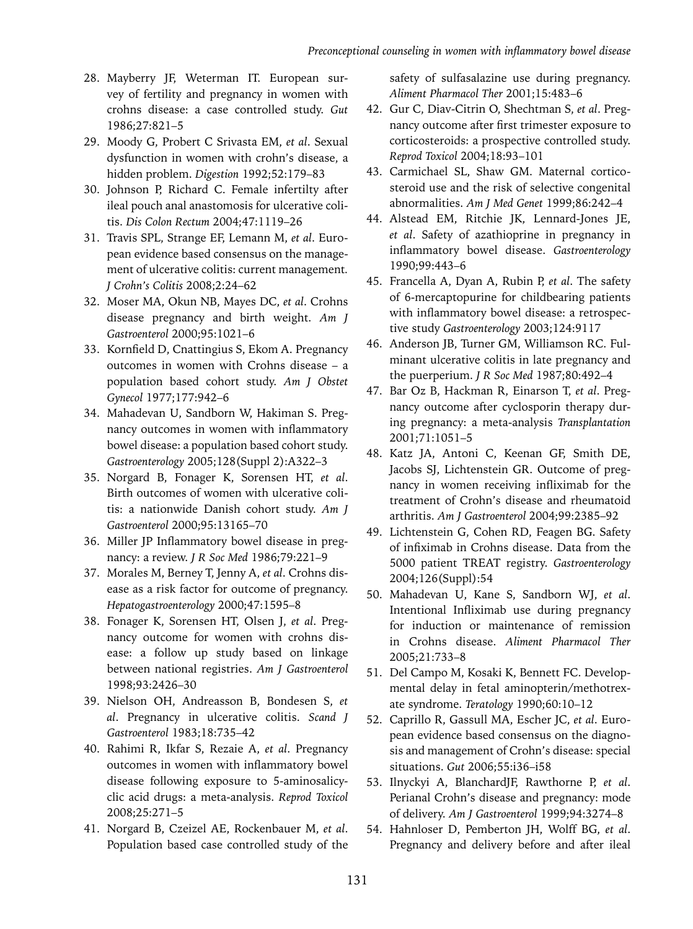- 28. Mayberry JF, Weterman IT. European survey of fertility and pregnancy in women with crohns disease: a case controlled study. *Gut* 1986;27:821–5
- 29. Moody G, Probert C Srivasta EM, *et al*. Sexual dysfunction in women with crohn's disease, a hidden problem. *Digestion* 1992;52:179–83
- 30. Johnson P, Richard C. Female infertilty after ileal pouch anal anastomosis for ulcerative colitis. *Dis Colon Rectum* 2004;47:1119–26
- 31. Travis SPL, Strange EF, Lemann M, *et al*. European evidence based consensus on the management of ulcerative colitis: current management*. J Crohn's Colitis* 2008;2:24–62
- 32. Moser MA, Okun NB, Mayes DC, *et al*. Crohns disease pregnancy and birth weight. *Am J Gastroenterol* 2000;95:1021–6
- 33. Kornfield D, Cnattingius S, Ekom A. Pregnancy outcomes in women with Crohns disease – a population based cohort study. *Am J Obstet Gynecol* 1977;177:942–6
- 34. Mahadevan U, Sandborn W, Hakiman S. Pregnancy outcomes in women with inflammatory bowel disease: a population based cohort study. *Gastroenterology* 2005;128(Suppl 2):A322–3
- 35. Norgard B, Fonager K, Sorensen HT, *et al*. Birth outcomes of women with ulcerative colitis: a nationwide Danish cohort study. *Am J Gastroenterol* 2000;95:13165–70
- 36. Miller JP Inflammatory bowel disease in pregnancy: a review. *J R Soc Med* 1986;79:221–9
- 37. Morales M, Berney T, Jenny A, *et al*. Crohns disease as a risk factor for outcome of pregnancy. *Hepatogastroenterology* 2000;47:1595–8
- 38. Fonager K, Sorensen HT, Olsen J, *et al*. Pregnancy outcome for women with crohns disease: a follow up study based on linkage between national registries. *Am J Gastroenterol* 1998;93:2426–30
- 39. Nielson OH, Andreasson B, Bondesen S, *et al*. Pregnancy in ulcerative colitis. *Scand J Gastroenterol* 1983;18:735–42
- 40. Rahimi R, Ikfar S, Rezaie A, *et al*. Pregnancy outcomes in women with inflammatory bowel disease following exposure to 5-aminosalicyclic acid drugs: a meta-analysis. *Reprod Toxicol* 2008;25:271–5
- 41. Norgard B, Czeizel AE, Rockenbauer M, *et al*. Population based case controlled study of the

safety of sulfasalazine use during pregnancy. *Aliment Pharmacol Ther* 2001;15:483–6

- 42. Gur C, Diav-Citrin O, Shechtman S, *et al*. Pregnancy outcome after first trimester exposure to corticosteroids: a prospective controlled study. *Reprod Toxicol* 2004;18:93–101
- 43. Carmichael SL, Shaw GM. Maternal corticosteroid use and the risk of selective congenital abnormalities. *Am J Med Genet* 1999;86:242–4
- 44. Alstead EM, Ritchie JK, Lennard-Jones JE, *et al*. Safety of azathioprine in pregnancy in inflammatory bowel disease. *Gastroenterology* 1990;99:443–6
- 45. Francella A, Dyan A, Rubin P, *et al*. The safety of 6-mercaptopurine for childbearing patients with inflammatory bowel disease: a retrospective study *Gastroenterology* 2003;124:9117
- 46. Anderson JB, Turner GM, Williamson RC. Fulminant ulcerative colitis in late pregnancy and the puerperium. *J R Soc Med* 1987;80:492–4
- 47. Bar Oz B, Hackman R, Einarson T, *et al*. Pregnancy outcome after cyclosporin therapy during pregnancy: a meta-analysis *Transplantation* 2001;71:1051–5
- 48. Katz JA, Antoni C, Keenan GF, Smith DE, Jacobs SJ, Lichtenstein GR. Outcome of pregnancy in women receiving infliximab for the treatment of Crohn's disease and rheumatoid arthritis. *Am J Gastroenterol* 2004;99:2385–92
- 49. Lichtenstein G, Cohen RD, Feagen BG. Safety of infiximab in Crohns disease. Data from the 5000 patient TREAT registry. *Gastroenterology* 2004;126(Suppl):54
- 50. Mahadevan U, Kane S, Sandborn WJ, *et al*. Intentional Infliximab use during pregnancy for induction or maintenance of remission in Crohns disease. *Aliment Pharmacol Ther* 2005;21:733–8
- 51. Del Campo M, Kosaki K, Bennett FC. Developmental delay in fetal aminopterin/methotrexate syndrome. *Teratology* 1990;60:10–12
- 52. Caprillo R, Gassull MA, Escher JC, *et al*. European evidence based consensus on the diagnosis and management of Crohn's disease: special situations. *Gut* 2006;55:i36–i58
- 53. Ilnyckyi A, BlanchardJF, Rawthorne P, *et al*. Perianal Crohn's disease and pregnancy: mode of delivery. *Am J Gastroenterol* 1999;94:3274–8
- 54. Hahnloser D, Pemberton JH, Wolff BG, *et al*. Pregnancy and delivery before and after ileal